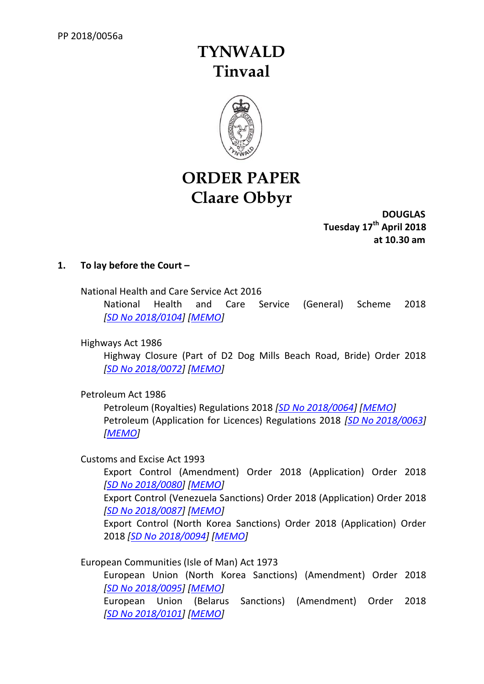# **TYNWALD Tinvaal**



# **ORDER PAPER Claare Obbyr**

**DOUGLAS Tuesday 17th April 2018 at 10.30 am**

# **1. To lay before the Court –**

National Health and Care Service Act 2016

National Health and Care Service (General) Scheme 2018 *[SD No [2018/0104\]](http://www.tynwald.org.im/business/opqp/sittings/Tynwald%2020162018/2018-SD-0104.pdf) [\[MEMO\]](http://www.tynwald.org.im/business/opqp/sittings/Tynwald%2020162018/2018-SD-0104-MEMO.pdf)*

Highways Act 1986

Highway Closure (Part of D2 Dog Mills Beach Road, Bride) Order 2018 *[SD No [2018/0072\]](http://www.tynwald.org.im/business/opqp/sittings/Tynwald%2020162018/2018-SD-0072.pdf) [\[MEMO\]](http://www.tynwald.org.im/business/opqp/sittings/Tynwald%2020162018/2018-SD-0072-MEMO.pdf)*

Petroleum Act 1986

Petroleum (Royalties) Regulations 2018 *[SD No [2018/0064\]](http://www.tynwald.org.im/business/opqp/sittings/Tynwald%2020162018/2018-SD-0064.pdf) [\[MEMO\]](http://www.tynwald.org.im/business/opqp/sittings/Tynwald%2020162018/2018-SD-0064-MEMO.pdf)* Petroleum (Application for Licences) Regulations 2018 *[SD No [2018/0063\]](http://www.tynwald.org.im/business/opqp/sittings/Tynwald%2020162018/2018-SD-0063.pdf) [\[MEMO\]](http://www.tynwald.org.im/business/opqp/sittings/Tynwald%2020162018/2018-SD-0063-MEMO.pdf)*

Customs and Excise Act 1993

Export Control (Amendment) Order 2018 (Application) Order 2018 *[SD No [2018/0080\]](http://www.tynwald.org.im/business/opqp/sittings/Tynwald%2020162018/2018-SD-0080.pdf) [\[MEMO\]](http://www.tynwald.org.im/business/opqp/sittings/Tynwald%2020162018/2018-SD-0080-MEMO.pdf)*

Export Control (Venezuela Sanctions) Order 2018 (Application) Order 2018 *[SD No [2018/0087\]](http://www.tynwald.org.im/business/opqp/sittings/Tynwald%2020162018/2018-SD-0087.pdf) [\[MEMO\]](http://www.tynwald.org.im/business/opqp/sittings/Tynwald%2020162018/2018-SD-0087-MEMO.pdf)*

Export Control (North Korea Sanctions) Order 2018 (Application) Order 2018 *[SD No [2018/0094\]](http://www.tynwald.org.im/business/opqp/sittings/Tynwald%2020162018/2018-SD-0094.pdf) [\[MEMO\]](http://www.tynwald.org.im/business/opqp/sittings/Tynwald%2020162018/2018-SD-0094-MEMO.pdf)*

European Communities (Isle of Man) Act 1973

European Union (North Korea Sanctions) (Amendment) Order 2018 *[SD No [2018/0095\]](http://www.tynwald.org.im/business/opqp/sittings/Tynwald%2020162018/2018-SD-0095.pdf) [\[MEMO\]](http://www.tynwald.org.im/business/opqp/sittings/Tynwald%2020162018/2018-SD-0095-MEMO.pdf)* European Union (Belarus Sanctions) (Amendment) Order 2018 *[SD No [2018/0101\]](http://www.tynwald.org.im/business/opqp/sittings/Tynwald%2020162018/2018-SD-0101.pdf) [\[MEMO\]](http://www.tynwald.org.im/business/opqp/sittings/Tynwald%2020162018/2018-SD-0101-0102-MEMO.pdf)*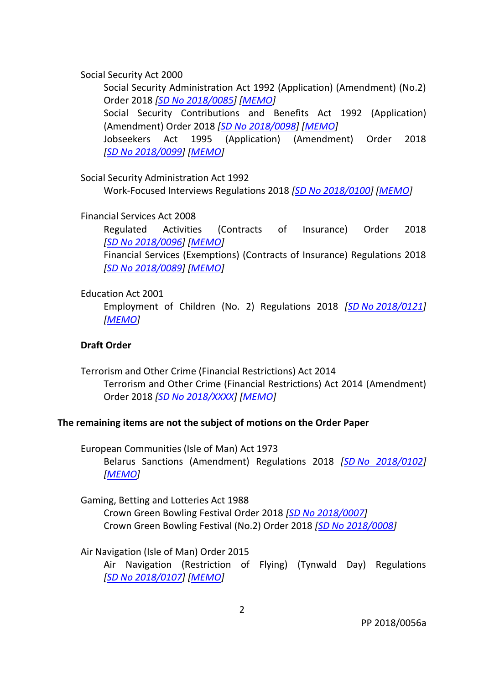Social Security Act 2000

Social Security Administration Act 1992 (Application) (Amendment) (No.2) Order 2018 *[SD No [2018/0085\]](http://www.tynwald.org.im/business/opqp/sittings/Tynwald%2020162018/2018-SD-0085.pdf) [\[MEMO\]](http://www.tynwald.org.im/business/opqp/sittings/Tynwald%2020162018/2018-SD-0085-MEMO.pdf)* Social Security Contributions and Benefits Act 1992 (Application) (Amendment) Order 2018 *[SD No [2018/0098\]](http://www.tynwald.org.im/business/opqp/sittings/Tynwald%2020162018/2018-SD-0098.pdf) [\[MEMO\]](http://www.tynwald.org.im/business/opqp/sittings/Tynwald%2020162018/2018-SD-0098-MEMO.pdf)* Jobseekers Act 1995 (Application) (Amendment) Order 2018 *[SD No [2018/0099\]](http://www.tynwald.org.im/business/opqp/sittings/Tynwald%2020162018/2018-SD-0099.pdf) [\[MEMO\]](http://www.tynwald.org.im/business/opqp/sittings/Tynwald%2020162018/2018-SD-0099-MEMO.pdf)*

Social Security Administration Act 1992

Work-Focused Interviews Regulations 2018 *[SD No [2018/0100\]](http://www.tynwald.org.im/business/opqp/sittings/Tynwald%2020162018/2018-SD-0100.pdf) [\[MEMO\]](http://www.tynwald.org.im/business/opqp/sittings/Tynwald%2020162018/2018-SD-0100-MEMO.pdf)*

Financial Services Act 2008

Regulated Activities (Contracts of Insurance) Order 2018 *[SD No [2018/0096\]](http://www.tynwald.org.im/business/opqp/sittings/Tynwald%2020162018/2018-SD-0096.pdf) [\[MEMO\]](http://www.tynwald.org.im/business/opqp/sittings/Tynwald%2020162018/2018-SD-0089-0096-MEMO.pdf)* Financial Services (Exemptions) (Contracts of Insurance) Regulations 2018 *[SD No [2018/0089\]](http://www.tynwald.org.im/business/opqp/sittings/Tynwald%2020162018/2018-SD-0089.pdf) [\[MEMO\]](http://www.tynwald.org.im/business/opqp/sittings/Tynwald%2020162018/2018-SD-0089-0096-MEMO.pdf)*

# Education Act 2001

Employment of Children (No. 2) Regulations 2018 *[SD No [2018/0121\]](http://www.tynwald.org.im/business/opqp/sittings/Tynwald%2020162018/2018-SD-0121.pdf) [\[MEMO\]](http://www.tynwald.org.im/business/opqp/sittings/Tynwald%2020162018/2018-SD-0121-MEMO.pdf)*

# **Draft Order**

Terrorism and Other Crime (Financial Restrictions) Act 2014 Terrorism and Other Crime (Financial Restrictions) Act 2014 (Amendment) Order 2018 *[SD No [2018/XXXX\]](http://www.tynwald.org.im/business/opqp/sittings/Tynwald%2020162018/20XX-SD-XXXX-April2018.pdf) [\[MEMO\]](http://www.tynwald.org.im/business/opqp/sittings/Tynwald%2020162018/20XX-SD-XXXX-April2018-MEMO.pdf)*

# **The remaining items are not the subject of motions on the Order Paper**

European Communities (Isle of Man) Act 1973 Belarus Sanctions (Amendment) Regulations 2018 *[SD [No 2018/0102\]](http://www.tynwald.org.im/business/opqp/sittings/Tynwald%2020162018/2018-SD-0102.pdf) [\[MEMO\]](http://www.tynwald.org.im/business/opqp/sittings/Tynwald%2020162018/2018-SD-0101-0102-MEMO.pdf)*

Gaming, Betting and Lotteries Act 1988 Crown Green Bowling Festival Order 2018 *[SD [No 2018/0007\]](http://www.tynwald.org.im/business/opqp/sittings/Tynwald%2020162018/2018-SD-0007.pdf)* Crown Green Bowling Festival (No.2) Order 2018 *[SD [No 2018/0008\]](http://www.tynwald.org.im/business/opqp/sittings/Tynwald%2020162018/2018-SD-0008.pdf)*

Air Navigation (Isle of Man) Order 2015

Air Navigation (Restriction of Flying) (Tynwald Day) Regulations *[SD No [2018/0107\]](http://www.tynwald.org.im/business/opqp/sittings/Tynwald%2020162018/2018-SD-0107.pdf) [\[MEMO\]](http://www.tynwald.org.im/business/opqp/sittings/Tynwald%2020162018/2018-SD-0107-MEMO.pdf)*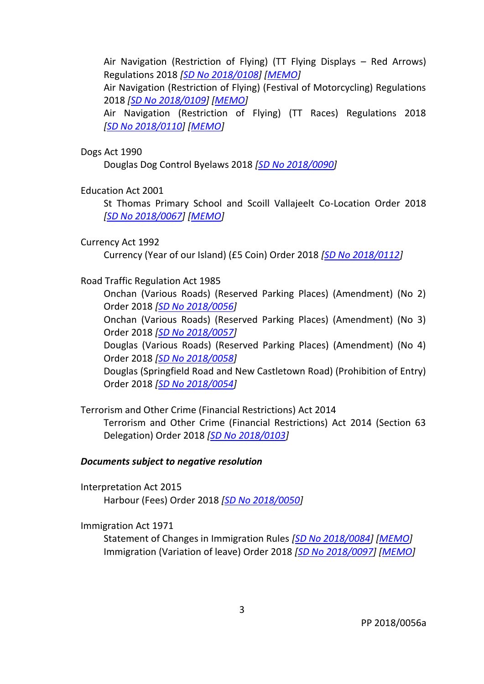Air Navigation (Restriction of Flying) (TT Flying Displays – Red Arrows) Regulations 2018 *[SD No [2018/0108\]](http://www.tynwald.org.im/business/opqp/sittings/Tynwald%2020162018/2018-SD-0108.pdf) [\[MEMO\]](http://www.tynwald.org.im/business/opqp/sittings/Tynwald%2020162018/2018-SD-0108-MEMO.pdf)* Air Navigation (Restriction of Flying) (Festival of Motorcycling) Regulations 2018 *[SD No [2018/0109\]](http://www.tynwald.org.im/business/opqp/sittings/Tynwald%2020162018/2018-SD-0109.pdf) [\[MEMO\]](http://www.tynwald.org.im/business/opqp/sittings/Tynwald%2020162018/2018-SD-0109-MEMO.pdf)* Air Navigation (Restriction of Flying) (TT Races) Regulations 2018 *[SD No [2018/0110\]](http://www.tynwald.org.im/business/opqp/sittings/Tynwald%2020162018/2018-SD-0110.pdf) [\[MEMO\]](http://www.tynwald.org.im/business/opqp/sittings/Tynwald%2020162018/2018-SD-0110-MEMO.pdf)*

#### Dogs Act 1990

Douglas Dog Control Byelaws 2018 *[SD No [2018/0090\]](http://www.tynwald.org.im/business/opqp/sittings/Tynwald%2020162018/2018-SD-0090.pdf)*

#### Education Act 2001

St Thomas Primary School and Scoill Vallajeelt Co-Location Order 2018 *[SD No [2018/0067\]](http://www.tynwald.org.im/business/opqp/sittings/Tynwald%2020162018/2018-SD-0067.pdf) [\[MEMO\]](http://www.tynwald.org.im/business/opqp/sittings/Tynwald%2020162018/2018-SD-0067-MEMO.pdf)*

#### Currency Act 1992

Currency (Year of our Island) (£5 Coin) Order 2018 *[SD No [2018/0112\]](http://www.tynwald.org.im/business/opqp/sittings/Tynwald%2020162018/2018-SD-0112.pdf)*

#### Road Traffic Regulation Act 1985

Onchan (Various Roads) (Reserved Parking Places) (Amendment) (No 2) Order 2018 *[SD No [2018/0056\]](http://www.tynwald.org.im/business/opqp/sittings/Tynwald%2020162018/2018-SD-0056.pdf)*

Onchan (Various Roads) (Reserved Parking Places) (Amendment) (No 3) Order 2018 *[SD No [2018/0057\]](http://www.tynwald.org.im/business/opqp/sittings/Tynwald%2020162018/2018-SD-0057.pdf)*

Douglas (Various Roads) (Reserved Parking Places) (Amendment) (No 4) Order 2018 *[SD No [2018/0058\]](http://www.tynwald.org.im/business/opqp/sittings/Tynwald%2020162018/2018-SD-0058.pdf)*

Douglas (Springfield Road and New Castletown Road) (Prohibition of Entry) Order 2018 *[SD No [2018/0054\]](http://www.tynwald.org.im/business/opqp/sittings/Tynwald%2020162018/2018-SD-0054.pdf)*

# Terrorism and Other Crime (Financial Restrictions) Act 2014 Terrorism and Other Crime (Financial Restrictions) Act 2014 (Section 63 Delegation) Order 2018 *[SD No [2018/0103\]](http://www.tynwald.org.im/business/opqp/sittings/Tynwald%2020162018/2018-SD-0103.pdf)*

#### *Documents subject to negative resolution*

Interpretation Act 2015 Harbour (Fees) Order 2018 *[SD No [2018/0050\]](http://www.tynwald.org.im/business/opqp/sittings/Tynwald%2020162018/2018-SD-0050.pdf)*

#### Immigration Act 1971

Statement of Changes in Immigration Rules *[SD No [2018/0084\]](http://www.tynwald.org.im/business/opqp/sittings/Tynwald%2020162018/2018-SD-0084.pdf) [\[MEMO\]](http://www.tynwald.org.im/business/opqp/sittings/Tynwald%2020162018/2018-SD-0084-MEMO.pdf)* Immigration (Variation of leave) Order 2018 *[SD No [2018/0097\]](http://www.tynwald.org.im/business/opqp/sittings/Tynwald%2020162018/2018-SD-0097.pdf) [\[MEMO\]](http://www.tynwald.org.im/business/opqp/sittings/Tynwald%2020162018/2018-SD-0097-MEMO.pdf)*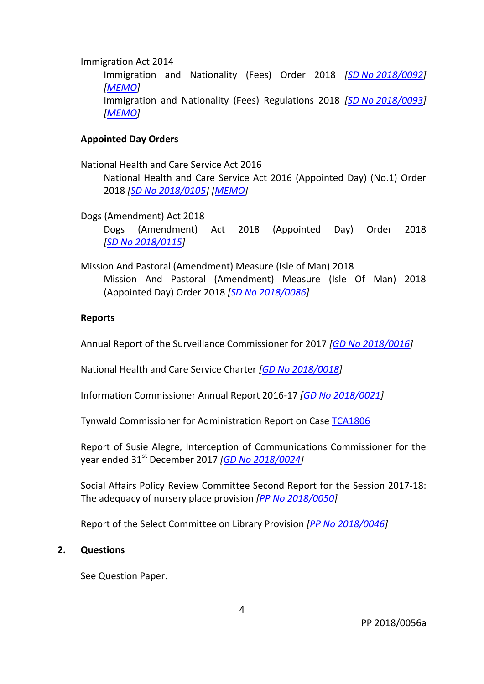#### Immigration Act 2014

Immigration and Nationality (Fees) Order 2018 *[SD No [2018/0092\]](http://www.tynwald.org.im/business/opqp/sittings/Tynwald%2020162018/2018-SD-0092.pdf) [\[MEMO\]](http://www.tynwald.org.im/business/opqp/sittings/Tynwald%2020162018/2018-SD-0092-MEMO.pdf)*

Immigration and Nationality (Fees) Regulations 2018 *[SD No [2018/0093\]](http://www.tynwald.org.im/business/opqp/sittings/Tynwald%2020162018/2018-SD-0093.pdf) [\[MEMO\]](http://www.tynwald.org.im/business/opqp/sittings/Tynwald%2020162018/2018-SD-0093-MEMO.pdf)*

## **Appointed Day Orders**

National Health and Care Service Act 2016

National Health and Care Service Act 2016 (Appointed Day) (No.1) Order 2018 *[SD [No 2018/0105\]](http://www.tynwald.org.im/business/opqp/sittings/Tynwald%2020162018/2018-SD-0105.pdf) [\[MEMO\]](http://www.tynwald.org.im/business/opqp/sittings/Tynwald%2020162018/2018-SD-0105-MEMO.pdf)*

Dogs (Amendment) Act 2018

Dogs (Amendment) Act 2018 (Appointed Day) Order 2018 *[SD No [2018/0115\]](http://www.tynwald.org.im/business/opqp/sittings/Tynwald%2020162018/2018-SD-0115.pdf)*

Mission And Pastoral (Amendment) Measure (Isle of Man) 2018 Mission And Pastoral (Amendment) Measure (Isle Of Man) 2018 (Appointed Day) Order 2018 *[SD No [2018/0086\]](http://www.tynwald.org.im/business/opqp/sittings/Tynwald%2020162018/2018-SD-0086.pdf)*

#### **Reports**

Annual Report of the Surveillance Commissioner for 2017 *[GD No [2018/0016\]](http://www.tynwald.org.im/business/opqp/sittings/Tynwald%2020162018/2018-GD-0016.pdf)*

National Health and Care Service Charter *[GD No [2018/0018\]](http://www.tynwald.org.im/business/opqp/sittings/Tynwald%2020162018/2018-GD-0018.pdf)*

Information Commissioner Annual Report 2016-17 *[GD No [2018/0021\]](http://www.tynwald.org.im/business/opqp/sittings/Tynwald%2020162018/2018-GD-0021.pdf)*

Tynwald Commissioner for Administration Report on Case [TCA1806](http://www.tynwald.org.im/business/opqp/sittings/Tynwald%2020162018/TCA1806.pdf)

Report of Susie Alegre, Interception of Communications Commissioner for the year ended 31st December 2017 *[GD No [2018/0024\]](http://www.tynwald.org.im/business/opqp/sittings/Tynwald%2020162018/2018-GD-0024.pdf)*

Social Affairs Policy Review Committee Second Report for the Session 2017-18: The adequacy of nursery place provision *[PP No [2018/0050\]](http://www.tynwald.org.im/business/opqp/sittings/Tynwald%2020162018/2018-PP-0050.pdf)*

Report of the Select Committee on Library Provision *[PP No [2018/0046\]](http://www.tynwald.org.im/business/opqp/sittings/Tynwald%2020162018/2018-PP-0046.pdf)*

## **2. Questions**

See Question Paper.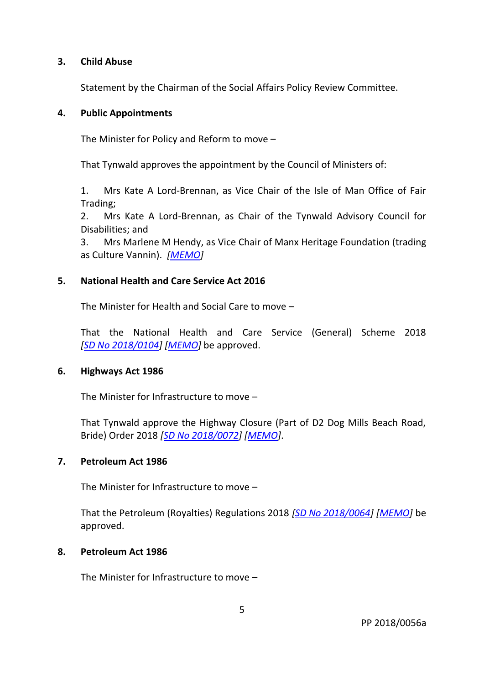## **3. Child Abuse**

Statement by the Chairman of the Social Affairs Policy Review Committee.

# **4. Public Appointments**

The Minister for Policy and Reform to move –

That Tynwald approves the appointment by the Council of Ministers of:

1. Mrs Kate A Lord-Brennan, as Vice Chair of the Isle of Man Office of Fair Trading;

2. Mrs Kate A Lord-Brennan, as Chair of the Tynwald Advisory Council for Disabilities; and

3. Mrs Marlene M Hendy, as Vice Chair of Manx Heritage Foundation (trading as Culture Vannin). *[\[MEMO\]](http://www.tynwald.org.im/business/opqp/sittings/Tynwald%2020162018/Appointments-April2018-MEMO.pdf)*

# **5. National Health and Care Service Act 2016**

The Minister for Health and Social Care to move –

That the National Health and Care Service (General) Scheme 2018 *[SD No [2018/0104\]](http://www.tynwald.org.im/business/opqp/sittings/Tynwald%2020162018/2018-SD-0104.pdf) [\[MEMO\]](http://www.tynwald.org.im/business/opqp/sittings/Tynwald%2020162018/2018-SD-0104-MEMO.pdf)* be approved.

# **6. Highways Act 1986**

The Minister for Infrastructure to move –

That Tynwald approve the Highway Closure (Part of D2 Dog Mills Beach Road, Bride) Order 2018 *[SD No [2018/0072\]](http://www.tynwald.org.im/business/opqp/sittings/Tynwald%2020162018/2018-SD-0072.pdf) [\[MEMO\]](http://www.tynwald.org.im/business/opqp/sittings/Tynwald%2020162018/2018-SD-0072-MEMO.pdf)*.

# **7. Petroleum Act 1986**

The Minister for Infrastructure to move –

That the Petroleum (Royalties) Regulations 2018 *[SD No [2018/0064\]](http://www.tynwald.org.im/business/opqp/sittings/Tynwald%2020162018/2018-SD-0064.pdf) [\[MEMO\]](http://www.tynwald.org.im/business/opqp/sittings/Tynwald%2020162018/2018-SD-0064-MEMO.pdf)* be approved.

# **8. Petroleum Act 1986**

The Minister for Infrastructure to move –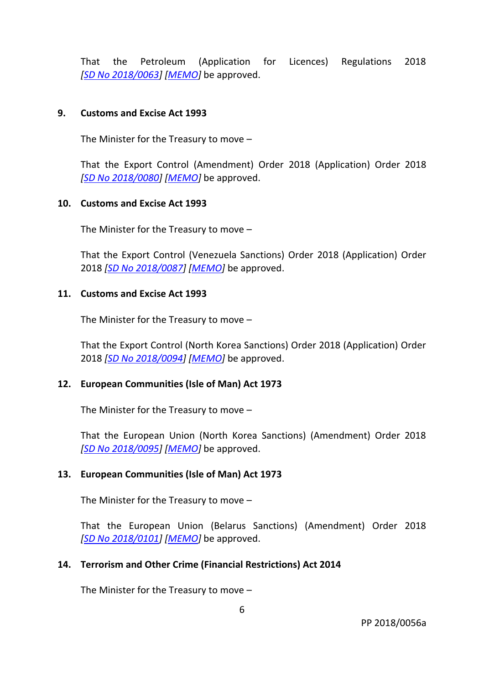That the Petroleum (Application for Licences) Regulations 2018 *[SD No [2018/0063\]](http://www.tynwald.org.im/business/opqp/sittings/Tynwald%2020162018/2018-SD-0063.pdf) [\[MEMO\]](http://www.tynwald.org.im/business/opqp/sittings/Tynwald%2020162018/2018-SD-0063-MEMO.pdf)* be approved.

# **9. Customs and Excise Act 1993**

The Minister for the Treasury to move –

That the Export Control (Amendment) Order 2018 (Application) Order 2018 *[SD No [2018/0080\]](http://www.tynwald.org.im/business/opqp/sittings/Tynwald%2020162018/2018-SD-0080.pdf) [\[MEMO\]](http://www.tynwald.org.im/business/opqp/sittings/Tynwald%2020162018/2018-SD-0080-MEMO.pdf)* be approved.

## **10. Customs and Excise Act 1993**

The Minister for the Treasury to move –

That the Export Control (Venezuela Sanctions) Order 2018 (Application) Order 2018 *[SD No [2018/0087\]](http://www.tynwald.org.im/business/opqp/sittings/Tynwald%2020162018/2018-SD-0087.pdf) [\[MEMO\]](http://www.tynwald.org.im/business/opqp/sittings/Tynwald%2020162018/2018-SD-0087-MEMO.pdf)* be approved.

## **11. Customs and Excise Act 1993**

The Minister for the Treasury to move –

That the Export Control (North Korea Sanctions) Order 2018 (Application) Order 2018 *[SD No [2018/0094\]](http://www.tynwald.org.im/business/opqp/sittings/Tynwald%2020162018/2018-SD-0094.pdf) [\[MEMO\]](http://www.tynwald.org.im/business/opqp/sittings/Tynwald%2020162018/2018-SD-0094-MEMO.pdf)* be approved.

# **12. European Communities (Isle of Man) Act 1973**

The Minister for the Treasury to move –

That the European Union (North Korea Sanctions) (Amendment) Order 2018 *[SD No [2018/0095\]](http://www.tynwald.org.im/business/opqp/sittings/Tynwald%2020162018/2018-SD-0095.pdf) [\[MEMO\]](http://www.tynwald.org.im/business/opqp/sittings/Tynwald%2020162018/2018-SD-0095-MEMO.pdf)* be approved.

# **13. European Communities (Isle of Man) Act 1973**

The Minister for the Treasury to move –

That the European Union (Belarus Sanctions) (Amendment) Order 2018 *[SD No [2018/0101\]](http://www.tynwald.org.im/business/opqp/sittings/Tynwald%2020162018/2018-SD-0101.pdf) [\[MEMO\]](http://www.tynwald.org.im/business/opqp/sittings/Tynwald%2020162018/2018-SD-0101-0102-MEMO.pdf)* be approved.

## **14. Terrorism and Other Crime (Financial Restrictions) Act 2014**

The Minister for the Treasury to move –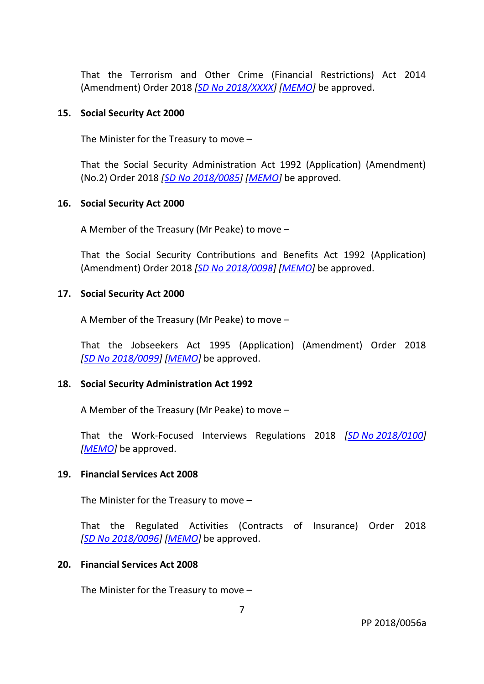That the Terrorism and Other Crime (Financial Restrictions) Act 2014 (Amendment) Order 2018 *[SD No [2018/XXXX\]](http://www.tynwald.org.im/business/opqp/sittings/Tynwald%2020162018/20XX-SD-XXXX-April2018.pdf) [\[MEMO\]](http://www.tynwald.org.im/business/opqp/sittings/Tynwald%2020162018/20XX-SD-XXXX-April2018-MEMO.pdf)* be approved.

## **15. Social Security Act 2000**

The Minister for the Treasury to move –

That the Social Security Administration Act 1992 (Application) (Amendment) (No.2) Order 2018 *[SD No [2018/0085\]](http://www.tynwald.org.im/business/opqp/sittings/Tynwald%2020162018/2018-SD-0085.pdf) [\[MEMO\]](http://www.tynwald.org.im/business/opqp/sittings/Tynwald%2020162018/2018-SD-0085-MEMO.pdf)* be approved.

#### **16. Social Security Act 2000**

A Member of the Treasury (Mr Peake) to move –

That the Social Security Contributions and Benefits Act 1992 (Application) (Amendment) Order 2018 *[SD No [2018/0098\]](http://www.tynwald.org.im/business/opqp/sittings/Tynwald%2020162018/2018-SD-0098.pdf) [\[MEMO\]](http://www.tynwald.org.im/business/opqp/sittings/Tynwald%2020162018/2018-SD-0098-MEMO.pdf)* be approved.

## **17. Social Security Act 2000**

A Member of the Treasury (Mr Peake) to move –

That the Jobseekers Act 1995 (Application) (Amendment) Order 2018 *[SD No [2018/0099\]](http://www.tynwald.org.im/business/opqp/sittings/Tynwald%2020162018/2018-SD-0099.pdf) [\[MEMO\]](http://www.tynwald.org.im/business/opqp/sittings/Tynwald%2020162018/2018-SD-0099-MEMO.pdf)* be approved.

## **18. Social Security Administration Act 1992**

A Member of the Treasury (Mr Peake) to move –

That the Work-Focused Interviews Regulations 2018 *[SD No [2018/0100\]](http://www.tynwald.org.im/business/opqp/sittings/Tynwald%2020162018/2018-SD-0100.pdf) [\[MEMO\]](http://www.tynwald.org.im/business/opqp/sittings/Tynwald%2020162018/2018-SD-0100-MEMO.pdf)* be approved.

## **19. Financial Services Act 2008**

The Minister for the Treasury to move –

That the Regulated Activities (Contracts of Insurance) Order 2018 *[SD No [2018/0096\]](http://www.tynwald.org.im/business/opqp/sittings/Tynwald%2020162018/2018-SD-0096.pdf) [\[MEMO\]](http://www.tynwald.org.im/business/opqp/sittings/Tynwald%2020162018/2018-SD-0089-0096-MEMO.pdf)* be approved.

## **20. Financial Services Act 2008**

The Minister for the Treasury to move –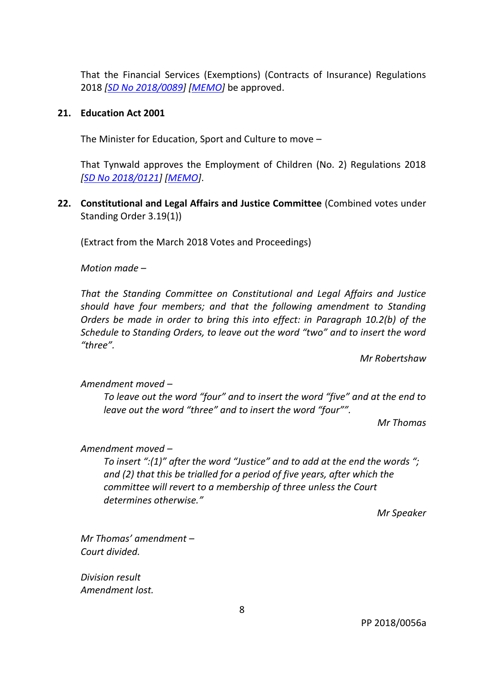That the Financial Services (Exemptions) (Contracts of Insurance) Regulations 2018 *[SD No [2018/0089\]](http://www.tynwald.org.im/business/opqp/sittings/Tynwald%2020162018/2018-SD-0089.pdf) [\[MEMO\]](http://www.tynwald.org.im/business/opqp/sittings/Tynwald%2020162018/2018-SD-0089-0096-MEMO.pdf)* be approved.

## **21. Education Act 2001**

The Minister for Education, Sport and Culture to move –

That Tynwald approves the Employment of Children (No. 2) Regulations 2018 *[SD No [2018/0121\]](http://www.tynwald.org.im/business/opqp/sittings/Tynwald%2020162018/2018-SD-0121.pdf) [\[MEMO\]](http://www.tynwald.org.im/business/opqp/sittings/Tynwald%2020162018/2018-SD-0121-MEMO.pdf)*.

**22. Constitutional and Legal Affairs and Justice Committee** (Combined votes under Standing Order 3.19(1))

(Extract from the March 2018 Votes and Proceedings)

*Motion made –*

*That the Standing Committee on Constitutional and Legal Affairs and Justice should have four members; and that the following amendment to Standing Orders be made in order to bring this into effect: in Paragraph 10.2(b) of the Schedule to Standing Orders, to leave out the word "two" and to insert the word "three".*

*Mr Robertshaw* 

*Amendment moved –*

*To leave out the word "four" and to insert the word "five" and at the end to leave out the word "three" and to insert the word "four"".*

*Mr Thomas*

*Amendment moved –*

*To insert ":(1)" after the word "Justice" and to add at the end the words "; and (2) that this be trialled for a period of five years, after which the committee will revert to a membership of three unless the Court determines otherwise."*

*Mr Speaker*

*Mr Thomas' amendment – Court divided.*

*Division result Amendment lost.*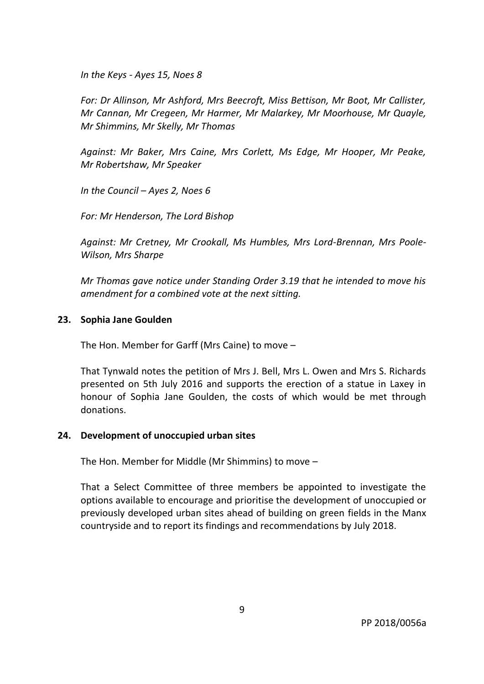*In the Keys - Ayes 15, Noes 8*

*For: Dr Allinson, Mr Ashford, Mrs Beecroft, Miss Bettison, Mr Boot, Mr Callister, Mr Cannan, Mr Cregeen, Mr Harmer, Mr Malarkey, Mr Moorhouse, Mr Quayle, Mr Shimmins, Mr Skelly, Mr Thomas*

*Against: Mr Baker, Mrs Caine, Mrs Corlett, Ms Edge, Mr Hooper, Mr Peake, Mr Robertshaw, Mr Speaker*

*In the Council – Ayes 2, Noes 6*

*For: Mr Henderson, The Lord Bishop*

*Against: Mr Cretney, Mr Crookall, Ms Humbles, Mrs Lord-Brennan, Mrs Poole-Wilson, Mrs Sharpe*

*Mr Thomas gave notice under Standing Order 3.19 that he intended to move his amendment for a combined vote at the next sitting.*

## **23. Sophia Jane Goulden**

The Hon. Member for Garff (Mrs Caine) to move –

That Tynwald notes the petition of Mrs J. Bell, Mrs L. Owen and Mrs S. Richards presented on 5th July 2016 and supports the erection of a statue in Laxey in honour of Sophia Jane Goulden, the costs of which would be met through donations.

## **24. Development of unoccupied urban sites**

The Hon. Member for Middle (Mr Shimmins) to move –

That a Select Committee of three members be appointed to investigate the options available to encourage and prioritise the development of unoccupied or previously developed urban sites ahead of building on green fields in the Manx countryside and to report its findings and recommendations by July 2018.